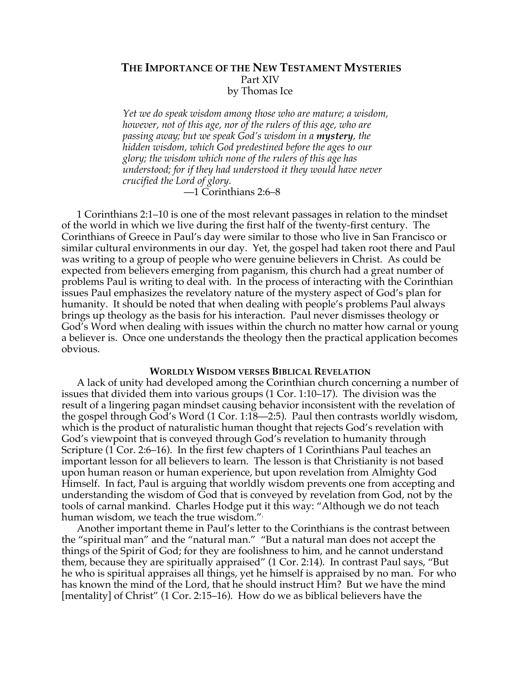## **THE IMPORTANCE OF THE NEW TESTAMENT MYSTERIES** Part XIV by Thomas Ice

*Yet we do speak wisdom among those who are mature; a wisdom, however, not of this age, nor of the rulers of this age, who are passing away; but we speak God's wisdom in a mystery, the hidden wisdom, which God predestined before the ages to our glory; the wisdom which none of the rulers of this age has understood; for if they had understood it they would have never crucified the Lord of glory.*

—1 Corinthians 2:6–8

1 Corinthians 2:1–10 is one of the most relevant passages in relation to the mindset of the world in which we live during the first half of the twenty-first century. The Corinthians of Greece in Paul's day were similar to those who live in San Francisco or similar cultural environments in our day. Yet, the gospel had taken root there and Paul was writing to a group of people who were genuine believers in Christ. As could be expected from believers emerging from paganism, this church had a great number of problems Paul is writing to deal with. In the process of interacting with the Corinthian issues Paul emphasizes the revelatory nature of the mystery aspect of God's plan for humanity. It should be noted that when dealing with people's problems Paul always brings up theology as the basis for his interaction. Paul never dismisses theology or God's Word when dealing with issues within the church no matter how carnal or young a believer is. Once one understands the theology then the practical application becomes obvious.

## **WORLDLY WISDOM VERSES BIBLICAL REVELATION**

A lack of unity had developed among the Corinthian church concerning a number of issues that divided them into various groups (1 Cor. 1:10–17). The division was the result of a lingering pagan mindset causing behavior inconsistent with the revelation of the gospel through God's Word (1 Cor. 1:18—2:5). Paul then contrasts worldly wisdom, which is the product of naturalistic human thought that rejects God's revelation with God's viewpoint that is conveyed through God's revelation to humanity through Scripture (1 Cor. 2:6–16). In the first few chapters of 1 Corinthians Paul teaches an important lesson for all believers to learn. The lesson is that Christianity is not based upon human reason or human experience, but upon revelation from Almighty God Himself. In fact, Paul is arguing that worldly wisdom prevents one from accepting and understanding the wisdom of God that is conveyed by revelation from God, not by the tools of carnal mankind. Charles Hodge put it this way: "Although we do not teach human wisdom, we teach the true wisdom."

Another important theme in Paul's letter to the Corinthians is the contrast between the "spiritual man" and the "natural man." "But a natural man does not accept the things of the Spirit of God; for they are foolishness to him, and he cannot understand them, because they are spiritually appraised" (1 Cor. 2:14). In contrast Paul says, "But he who is spiritual appraises all things, yet he himself is appraised by no man. For who has known the mind of the Lord, that he should instruct Him? But we have the mind [mentality] of Christ" (1 Cor. 2:15–16). How do we as biblical believers have the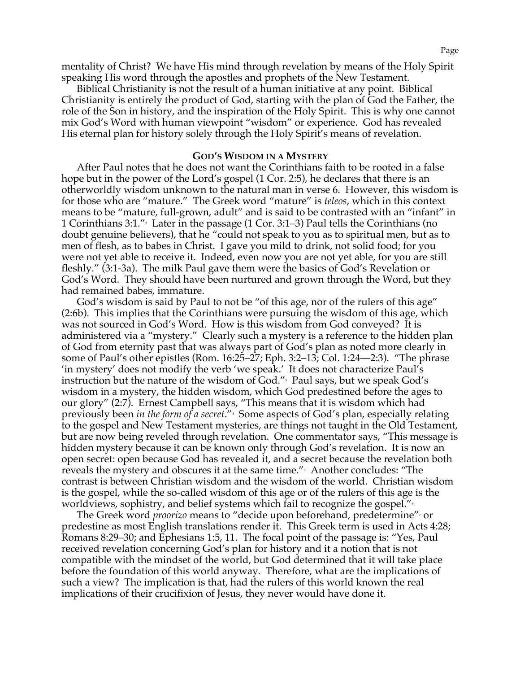mentality of Christ? We have His mind through revelation by means of the Holy Spirit speaking His word through the apostles and prophets of the New Testament.

Biblical Christianity is not the result of a human initiative at any point. Biblical Christianity is entirely the product of God, starting with the plan of God the Father, the role of the Son in history, and the inspiration of the Holy Spirit. This is why one cannot mix God's Word with human viewpoint "wisdom" or experience. God has revealed His eternal plan for history solely through the Holy Spirit's means of revelation.

## **GOD'S WISDOM IN A MYSTERY**

After Paul notes that he does not want the Corinthians faith to be rooted in a false hope but in the power of the Lord's gospel (1 Cor. 2:5), he declares that there is an otherworldly wisdom unknown to the natural man in verse 6. However, this wisdom is for those who are "mature." The Greek word "mature" is *teleos*, which in this context means to be "mature, full-grown, adult" and is said to be contrasted with an "infant" in 1 Corinthians 3:1."2 Later in the passage (1 Cor. 3:1–3) Paul tells the Corinthians (no doubt genuine believers), that he "could not speak to you as to spiritual men, but as to men of flesh, as to babes in Christ. I gave you mild to drink, not solid food; for you were not yet able to receive it. Indeed, even now you are not yet able, for you are still fleshly." (3:1-3a). The milk Paul gave them were the basics of God's Revelation or God's Word. They should have been nurtured and grown through the Word, but they had remained babes, immature.

God's wisdom is said by Paul to not be "of this age, nor of the rulers of this age" (2:6b). This implies that the Corinthians were pursuing the wisdom of this age, which was not sourced in God's Word. How is this wisdom from God conveyed? It is administered via a "mystery." Clearly such a mystery is a reference to the hidden plan of God from eternity past that was always part of God's plan as noted more clearly in some of Paul's other epistles (Rom. 16:25–27; Eph. 3:2–13; Col. 1:24—2:3). "The phrase 'in mystery' does not modify the verb 'we speak.' It does not characterize Paul's instruction but the nature of the wisdom of God."3 Paul says, but we speak God's wisdom in a mystery, the hidden wisdom, which God predestined before the ages to our glory" (2:7). Ernest Campbell says, "This means that it is wisdom which had previously been *in the form of a secret*."4 Some aspects of God's plan, especially relating to the gospel and New Testament mysteries, are things not taught in the Old Testament, but are now being reveled through revelation. One commentator says, "This message is hidden mystery because it can be known only through God's revelation. It is now an open secret: open because God has revealed it, and a secret because the revelation both reveals the mystery and obscures it at the same time."<sup>,</sup> Another concludes: "The contrast is between Christian wisdom and the wisdom of the world. Christian wisdom is the gospel, while the so-called wisdom of this age or of the rulers of this age is the worldviews, sophistry, and belief systems which fail to recognize the gospel."<sup>6</sup>

The Greek word *proorizo* means to "decide upon beforehand, predetermine"7 or predestine as most English translations render it. This Greek term is used in Acts 4:28; Romans 8:29–30; and Ephesians 1:5, 11. The focal point of the passage is: "Yes, Paul received revelation concerning God's plan for history and it a notion that is not compatible with the mindset of the world, but God determined that it will take place before the foundation of this world anyway. Therefore, what are the implications of such a view? The implication is that, had the rulers of this world known the real implications of their crucifixion of Jesus, they never would have done it.